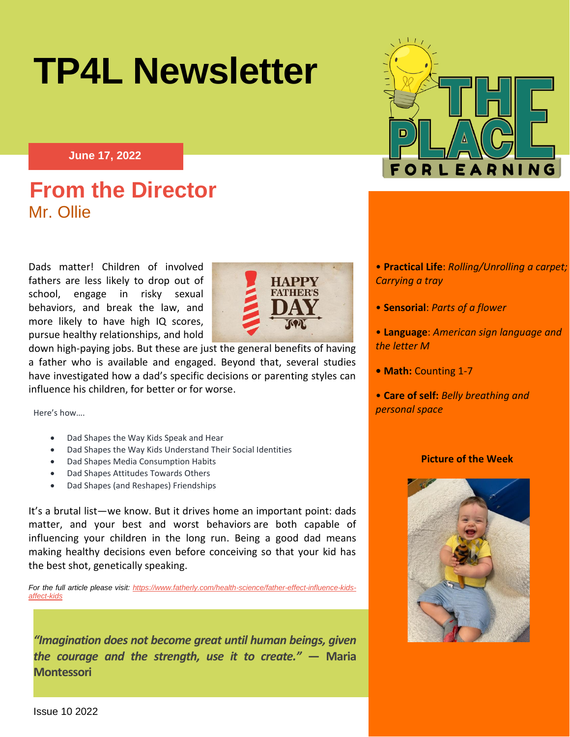



**June 17, 2022**

# **From the Director** Mr. Ollie  **A Week At-A-Glance**

Dads matter! Children of involved fathers are less likely to drop out of school, engage in risky sexual behaviors, and break the law, and more likely to have high IQ scores, pursue healthy relationships, and hold



down high-paying jobs. But these are just the general benefits of having a father who is available and engaged. Beyond that, several studies have investigated how a dad's specific decisions or parenting styles can influence his children, for better or for worse.

Here's how….

- Dad Shapes the Way Kids Speak and Hear
- Dad Shapes the Way Kids Understand Their Social Identities
- Dad Shapes Media Consumption Habits
- Dad Shapes Attitudes Towards Others
- Dad Shapes (and Reshapes) Friendships

It's a brutal list—we know. But it drives home an important point: dads matter, and your best and worst behaviors [are both capable of](https://www.fatherly.com/health-science/science-benefits-of-fatherhood-dads-father-effect/)  [influencing your children in the long run.](https://www.fatherly.com/health-science/science-benefits-of-fatherhood-dads-father-effect/) Being a good dad means making healthy decisions even before conceiving so that your kid has the best shot, genetically speaking.

*For the full article please visit: [https://www.fatherly.com/health-science/father-effect-influence-kids](https://www.fatherly.com/health-science/father-effect-influence-kids-affect-kids)[affect-kids](https://www.fatherly.com/health-science/father-effect-influence-kids-affect-kids)*

*"Imagination does not become great until human beings, given the courage and the strength, use it to create."* **― Maria Montessori**

- **Practical Life**: *Rolling/Unrolling a carpet; Carrying a tray*
- **Sensorial**: *Parts of a flower*
- **Language**: *American sign language and the letter M*
- **Math:** Counting 1-7
- **Care of self:** *Belly breathing and personal space*

#### **Picture of the Week**

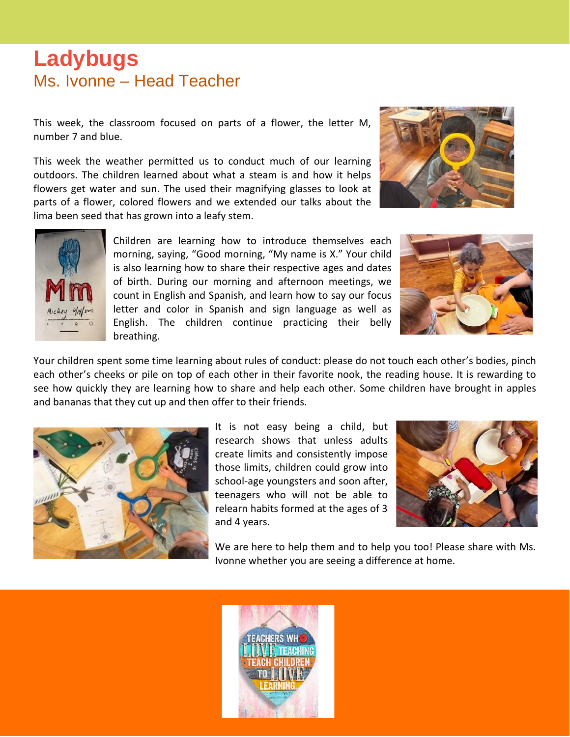### **Ladybugs** Ms. Ivonne – Head Teacher

This week, the classroom focused on parts of a flower, the letter M, number 7 and blue.

This week the weather permitted us to conduct much of our learning outdoors. The children learned about what a steam is and how it helps flowers get water and sun. The used their magnifying glasses to look at parts of a flower, colored flowers and we extended our talks about the lima been seed that has grown into a leafy stem.





Children are learning how to introduce themselves each morning, saying, "Good morning, "My name is X." Your child is also learning how to share their respective ages and dates of birth. During our morning and afternoon meetings, we count in English and Spanish, and learn how to say our focus letter and color in Spanish and sign language as well as English. The children continue practicing their belly breathing.



Your children spent some time learning about rules of conduct: please do not touch each other's bodies, pinch each other's cheeks or pile on top of each other in their favorite nook, the reading house. It is rewarding to see how quickly they are learning how to share and help each other. Some children have brought in apples and bananas that they cut up and then offer to their friends.



It is not easy being a child, but research shows that unless adults create limits and consistently impose those limits, children could grow into school-age youngsters and soon after, teenagers who will not be able to relearn habits formed at the ages of 3 and 4 years.



We are here to help them and to help you too! Please share with Ms. Ivonne whether you are seeing a difference at home.

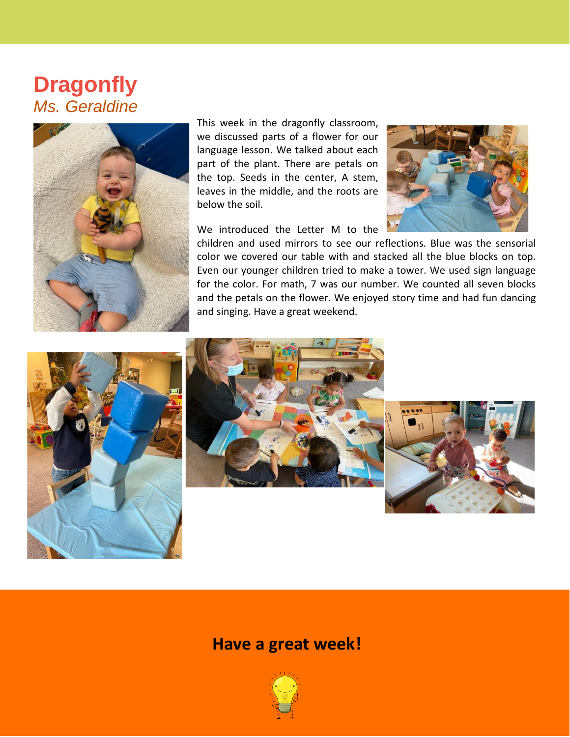## **Dragonfly** *Ms. Geraldine*



This week in the dragonfly classroom, we discussed parts of a flower for our language lesson. We talked about each part of the plant. There are petals on the top. Seeds in the center, A stem, leaves in the middle, and the roots are below the soil.

We introduced the Letter M to the



children and used mirrors to see our reflections. Blue was the sensorial color we covered our table with and stacked all the blue blocks on top. Even our younger children tried to make a tower. We used sign language for the color. For math, 7 was our number. We counted all seven blocks and the petals on the flower. We enjoyed story time and had fun dancing and singing. Have a great weekend.







#### **Have a great week!**